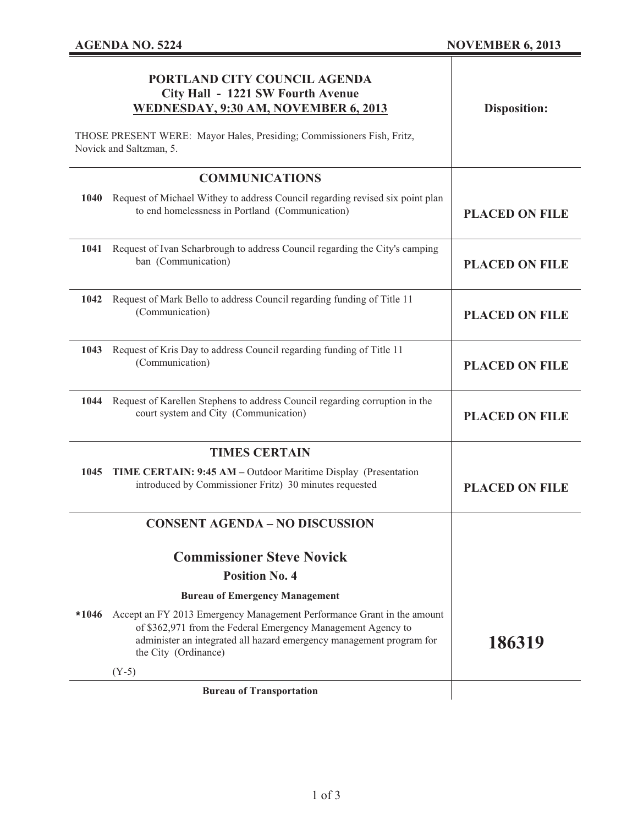|                                                                                                   | PORTLAND CITY COUNCIL AGENDA<br>City Hall - 1221 SW Fourth Avenue<br>WEDNESDAY, 9:30 AM, NOVEMBER 6, 2013                                                                                                                              | <b>Disposition:</b>   |
|---------------------------------------------------------------------------------------------------|----------------------------------------------------------------------------------------------------------------------------------------------------------------------------------------------------------------------------------------|-----------------------|
| THOSE PRESENT WERE: Mayor Hales, Presiding; Commissioners Fish, Fritz,<br>Novick and Saltzman, 5. |                                                                                                                                                                                                                                        |                       |
|                                                                                                   | <b>COMMUNICATIONS</b>                                                                                                                                                                                                                  |                       |
| 1040                                                                                              | Request of Michael Withey to address Council regarding revised six point plan<br>to end homelessness in Portland (Communication)                                                                                                       | <b>PLACED ON FILE</b> |
| 1041                                                                                              | Request of Ivan Scharbrough to address Council regarding the City's camping<br>ban (Communication)                                                                                                                                     | <b>PLACED ON FILE</b> |
|                                                                                                   | 1042 Request of Mark Bello to address Council regarding funding of Title 11<br>(Communication)                                                                                                                                         | <b>PLACED ON FILE</b> |
|                                                                                                   | 1043 Request of Kris Day to address Council regarding funding of Title 11<br>(Communication)                                                                                                                                           | <b>PLACED ON FILE</b> |
|                                                                                                   | 1044 Request of Karellen Stephens to address Council regarding corruption in the<br>court system and City (Communication)                                                                                                              | <b>PLACED ON FILE</b> |
|                                                                                                   | <b>TIMES CERTAIN</b>                                                                                                                                                                                                                   |                       |
|                                                                                                   | 1045 TIME CERTAIN: 9:45 AM - Outdoor Maritime Display (Presentation<br>introduced by Commissioner Fritz) 30 minutes requested                                                                                                          | <b>PLACED ON FILE</b> |
|                                                                                                   | <b>CONSENT AGENDA - NO DISCUSSION</b>                                                                                                                                                                                                  |                       |
|                                                                                                   | <b>Commissioner Steve Novick</b>                                                                                                                                                                                                       |                       |
|                                                                                                   | <b>Position No. 4</b>                                                                                                                                                                                                                  |                       |
|                                                                                                   | <b>Bureau of Emergency Management</b>                                                                                                                                                                                                  |                       |
| $*1046$                                                                                           | Accept an FY 2013 Emergency Management Performance Grant in the amount<br>of \$362,971 from the Federal Emergency Management Agency to<br>administer an integrated all hazard emergency management program for<br>the City (Ordinance) | 186319                |
|                                                                                                   | $(Y-5)$                                                                                                                                                                                                                                |                       |
|                                                                                                   | <b>Bureau of Transportation</b>                                                                                                                                                                                                        |                       |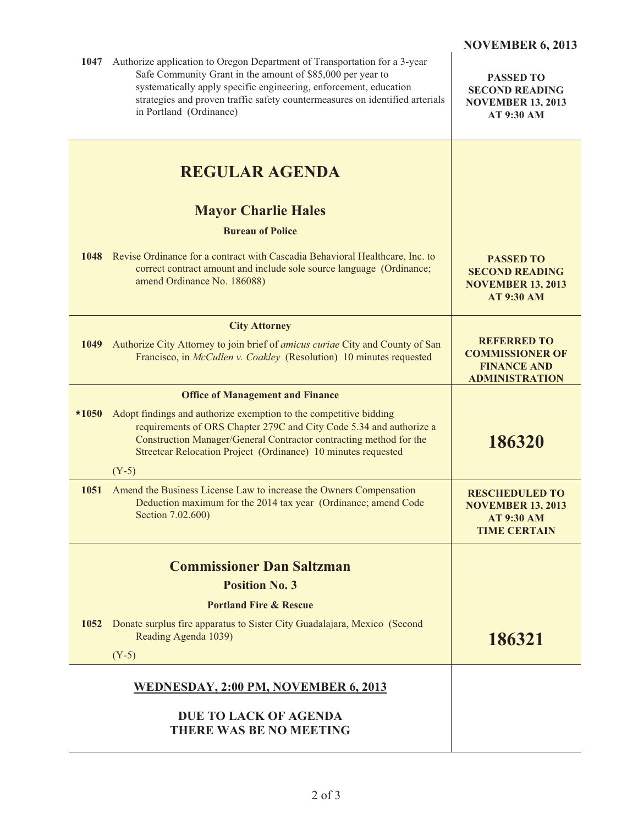| 1047    | Authorize application to Oregon Department of Transportation for a 3-year<br>Safe Community Grant in the amount of \$85,000 per year to<br>systematically apply specific engineering, enforcement, education<br>strategies and proven traffic safety countermeasures on identified arterials<br>in Portland (Ordinance) | <b>PASSED TO</b><br><b>SECOND READING</b><br><b>NOVEMBER 13, 2013</b><br>AT 9:30 AM           |
|---------|-------------------------------------------------------------------------------------------------------------------------------------------------------------------------------------------------------------------------------------------------------------------------------------------------------------------------|-----------------------------------------------------------------------------------------------|
|         | <b>REGULAR AGENDA</b>                                                                                                                                                                                                                                                                                                   |                                                                                               |
|         | <b>Mayor Charlie Hales</b>                                                                                                                                                                                                                                                                                              |                                                                                               |
|         | <b>Bureau of Police</b>                                                                                                                                                                                                                                                                                                 |                                                                                               |
|         | 1048 Revise Ordinance for a contract with Cascadia Behavioral Healthcare, Inc. to<br>correct contract amount and include sole source language (Ordinance;<br>amend Ordinance No. 186088)                                                                                                                                | <b>PASSED TO</b><br><b>SECOND READING</b><br><b>NOVEMBER 13, 2013</b><br><b>AT 9:30 AM</b>    |
|         | <b>City Attorney</b>                                                                                                                                                                                                                                                                                                    |                                                                                               |
| 1049    | Authorize City Attorney to join brief of amicus curiae City and County of San<br>Francisco, in McCullen v. Coakley (Resolution) 10 minutes requested                                                                                                                                                                    | <b>REFERRED TO</b><br><b>COMMISSIONER OF</b><br><b>FINANCE AND</b><br><b>ADMINISTRATION</b>   |
|         | <b>Office of Management and Finance</b>                                                                                                                                                                                                                                                                                 |                                                                                               |
| $*1050$ | Adopt findings and authorize exemption to the competitive bidding<br>requirements of ORS Chapter 279C and City Code 5.34 and authorize a<br>Construction Manager/General Contractor contracting method for the<br>Streetcar Relocation Project (Ordinance) 10 minutes requested                                         | 186320                                                                                        |
|         | $(Y-5)$                                                                                                                                                                                                                                                                                                                 |                                                                                               |
| 1051    | Amend the Business License Law to increase the Owners Compensation<br>Deduction maximum for the 2014 tax year (Ordinance; amend Code<br>Section 7.02.600)                                                                                                                                                               | <b>RESCHEDULED TO</b><br><b>NOVEMBER 13, 2013</b><br><b>AT 9:30 AM</b><br><b>TIME CERTAIN</b> |
|         | <b>Commissioner Dan Saltzman</b>                                                                                                                                                                                                                                                                                        |                                                                                               |
|         | <b>Position No. 3</b>                                                                                                                                                                                                                                                                                                   |                                                                                               |
|         | <b>Portland Fire &amp; Rescue</b>                                                                                                                                                                                                                                                                                       |                                                                                               |
| 1052    | Donate surplus fire apparatus to Sister City Guadalajara, Mexico (Second<br>Reading Agenda 1039)                                                                                                                                                                                                                        | 186321                                                                                        |
|         | $(Y-5)$                                                                                                                                                                                                                                                                                                                 |                                                                                               |
|         | WEDNESDAY, 2:00 PM, NOVEMBER 6, 2013                                                                                                                                                                                                                                                                                    |                                                                                               |
|         | <b>DUE TO LACK OF AGENDA</b><br><b>THERE WAS BE NO MEETING</b>                                                                                                                                                                                                                                                          |                                                                                               |